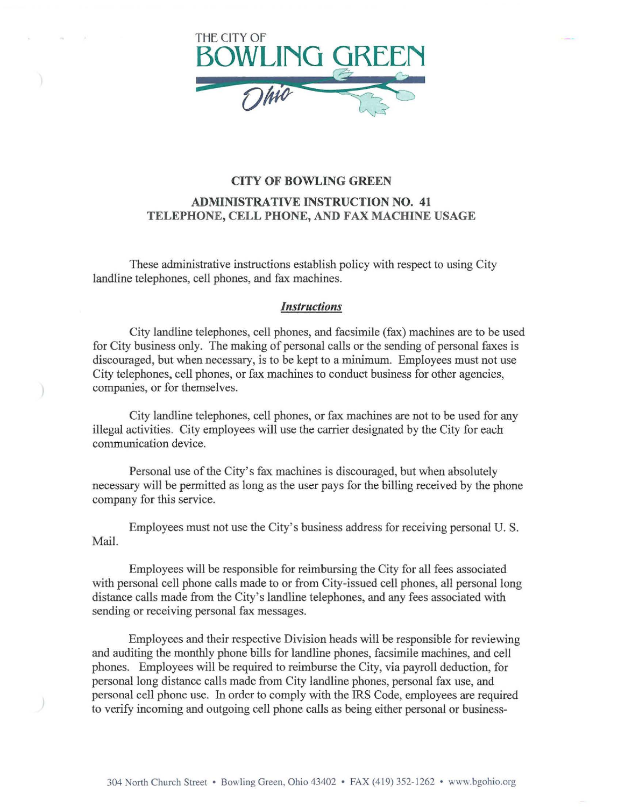

## CITY OF BOWLING GREEN ADMINISTRATIVE INSTRUCTION NO. 41 TELEPHONE, CELL PHONE, AND FAX MACHINE USAGE

These administrative instructions establish policy with respect to using City landline telephones, cell phones, and fax machines.

## *Instructions*

City landline telephones, cell phones, and facsimile (fax) machines are to be used for City business only. The making of personal calls or the sending of personal faxes is discouraged, but when necessary, is to be kept to a minimum. Employees must not use City telephones, cell phones, or fax machines to conduct business for other agencies, companies, or for themselves.

City landline telephones, cell phones, or fax machines are not to be used for any illegal activities. City employees will use the carrier designated by the City for each communication device.

Personal use of the City's fax machines is discouraged, but when absolutely necessary will be permitted as long as the user pays for the billing received by the phone company for this service.

Employees must not use the City's business address for receiving personal U.S. Mail.

Employees will be responsible for reimbursing the City for all fees associated with personal cell phone calls made to or from City-issued cell phones, all personal long distance calls made from the City's landline telephones, and any fees associated with sending or receiving personal fax messages.

Employees and their respective Division heads will be responsible for reviewing and auditing the monthly phone bills for landline phones, facsimile machines, and cell phones. Employees will be required to reimburse the City, via payroll deduction, for personal long distance calls made from City landline phones, personal fax use, and personal cell phone use. In order to comply with the IRS Code, employees are required to verify incoming and outgoing cell phone calls as being either personal or business